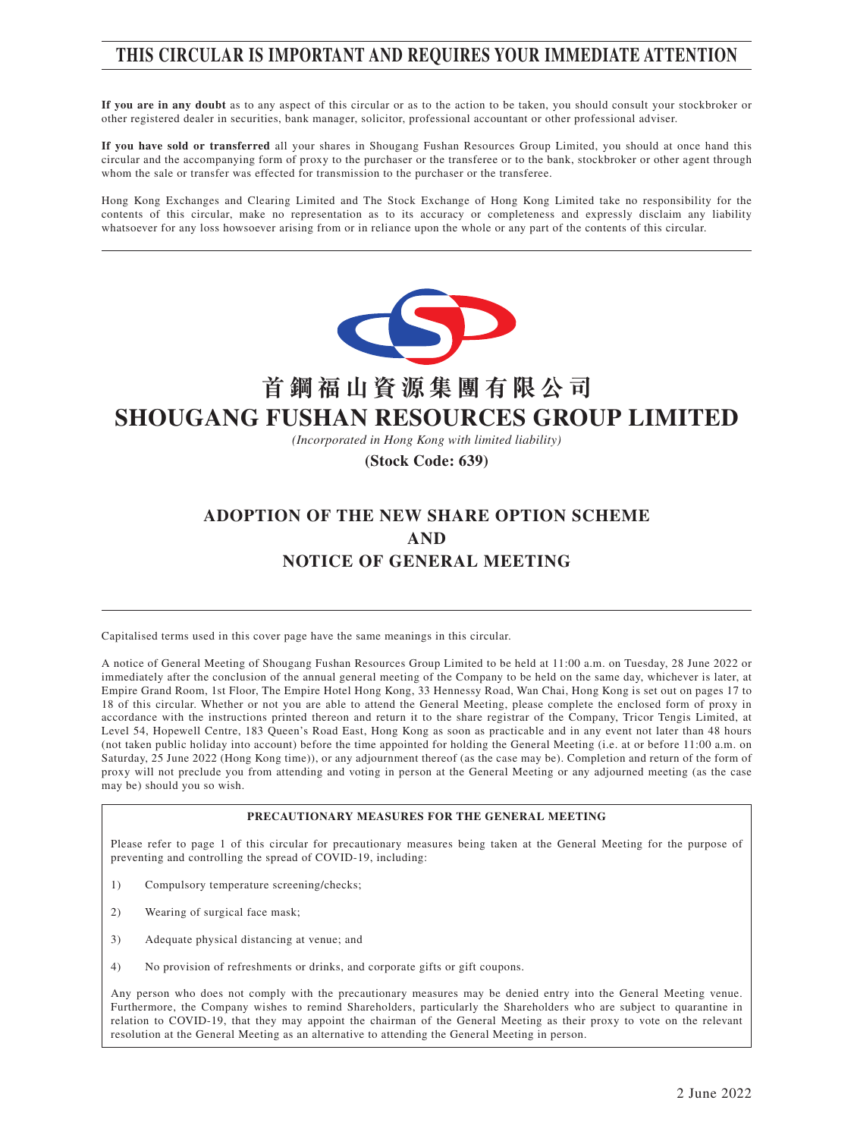# **THIS CIRCULAR IS IMPORTANT AND REQUIRES YOUR IMMEDIATE ATTENTION**

**If you are in any doubt** as to any aspect of this circular or as to the action to be taken, you should consult your stockbroker or other registered dealer in securities, bank manager, solicitor, professional accountant or other professional adviser.

**If you have sold or transferred** all your shares in Shougang Fushan Resources Group Limited, you should at once hand this circular and the accompanying form of proxy to the purchaser or the transferee or to the bank, stockbroker or other agent through whom the sale or transfer was effected for transmission to the purchaser or the transferee.

Hong Kong Exchanges and Clearing Limited and The Stock Exchange of Hong Kong Limited take no responsibility for the contents of this circular, make no representation as to its accuracy or completeness and expressly disclaim any liability whatsoever for any loss howsoever arising from or in reliance upon the whole or any part of the contents of this circular.



# **首鋼福山資源集團有限公司 SHOUGANG FUSHAN RESOURCES GROUP LIMITED**

*(Incorporated in Hong Kong with limited liability)*

**(Stock Code: 639)**

# **ADOPTION OF THE NEW SHARE OPTION SCHEME AND NOTICE OF GENERAL MEETING**

Capitalised terms used in this cover page have the same meanings in this circular.

A notice of General Meeting of Shougang Fushan Resources Group Limited to be held at 11:00 a.m. on Tuesday, 28 June 2022 or immediately after the conclusion of the annual general meeting of the Company to be held on the same day, whichever is later, at Empire Grand Room, 1st Floor, The Empire Hotel Hong Kong, 33 Hennessy Road, Wan Chai, Hong Kong is set out on pages 17 to 18 of this circular. Whether or not you are able to attend the General Meeting, please complete the enclosed form of proxy in accordance with the instructions printed thereon and return it to the share registrar of the Company, Tricor Tengis Limited, at Level 54, Hopewell Centre, 183 Queen's Road East, Hong Kong as soon as practicable and in any event not later than 48 hours (not taken public holiday into account) before the time appointed for holding the General Meeting (i.e. at or before 11:00 a.m. on Saturday, 25 June 2022 (Hong Kong time)), or any adjournment thereof (as the case may be). Completion and return of the form of proxy will not preclude you from attending and voting in person at the General Meeting or any adjourned meeting (as the case may be) should you so wish.

#### **PRECAUTIONARY MEASURES FOR THE GENERAL MEETING**

Please refer to page 1 of this circular for precautionary measures being taken at the General Meeting for the purpose of preventing and controlling the spread of COVID-19, including:

- 1) Compulsory temperature screening/checks;
- 2) Wearing of surgical face mask;
- 3) Adequate physical distancing at venue; and
- 4) No provision of refreshments or drinks, and corporate gifts or gift coupons.

Any person who does not comply with the precautionary measures may be denied entry into the General Meeting venue. Furthermore, the Company wishes to remind Shareholders, particularly the Shareholders who are subject to quarantine in relation to COVID-19, that they may appoint the chairman of the General Meeting as their proxy to vote on the relevant resolution at the General Meeting as an alternative to attending the General Meeting in person.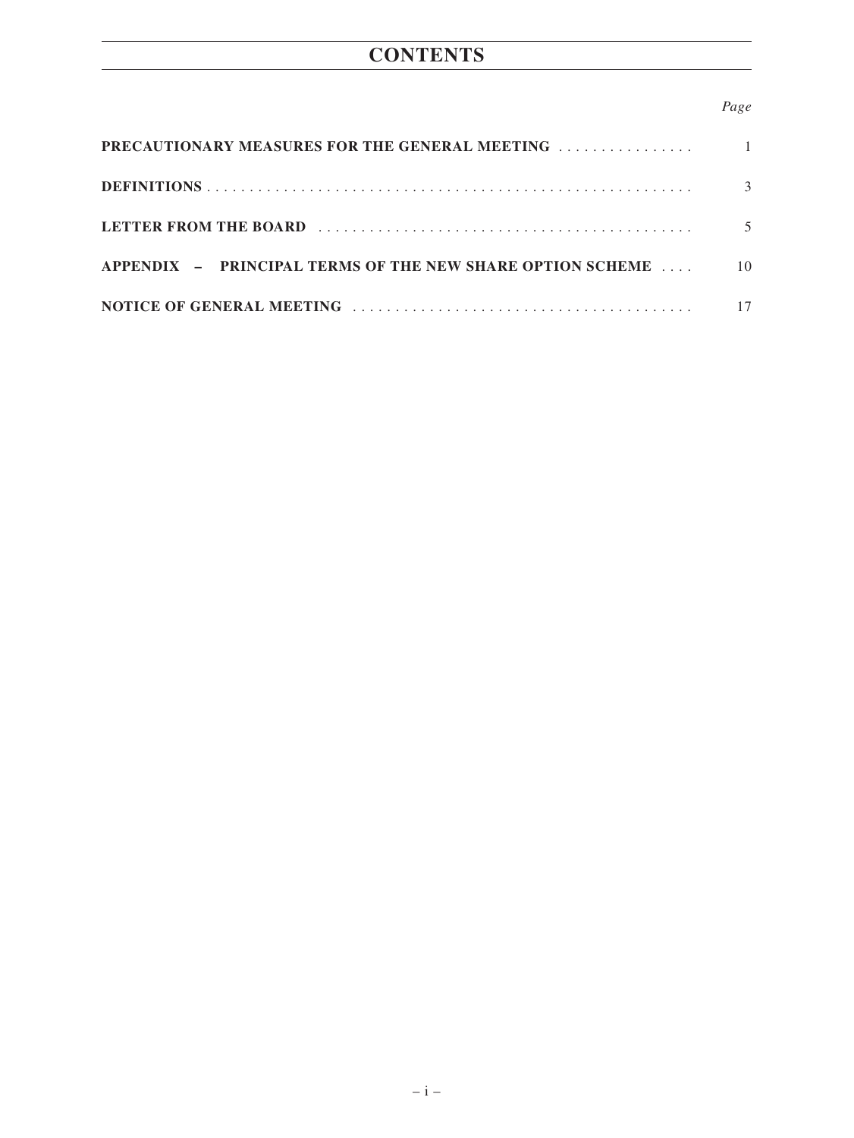# **CONTENTS**

#### *Page*

| <b>PRECAUTIONARY MEASURES FOR THE GENERAL MEETING</b>     |    |
|-----------------------------------------------------------|----|
|                                                           |    |
|                                                           |    |
| APPENDIX - PRINCIPAL TERMS OF THE NEW SHARE OPTION SCHEME | 10 |
|                                                           |    |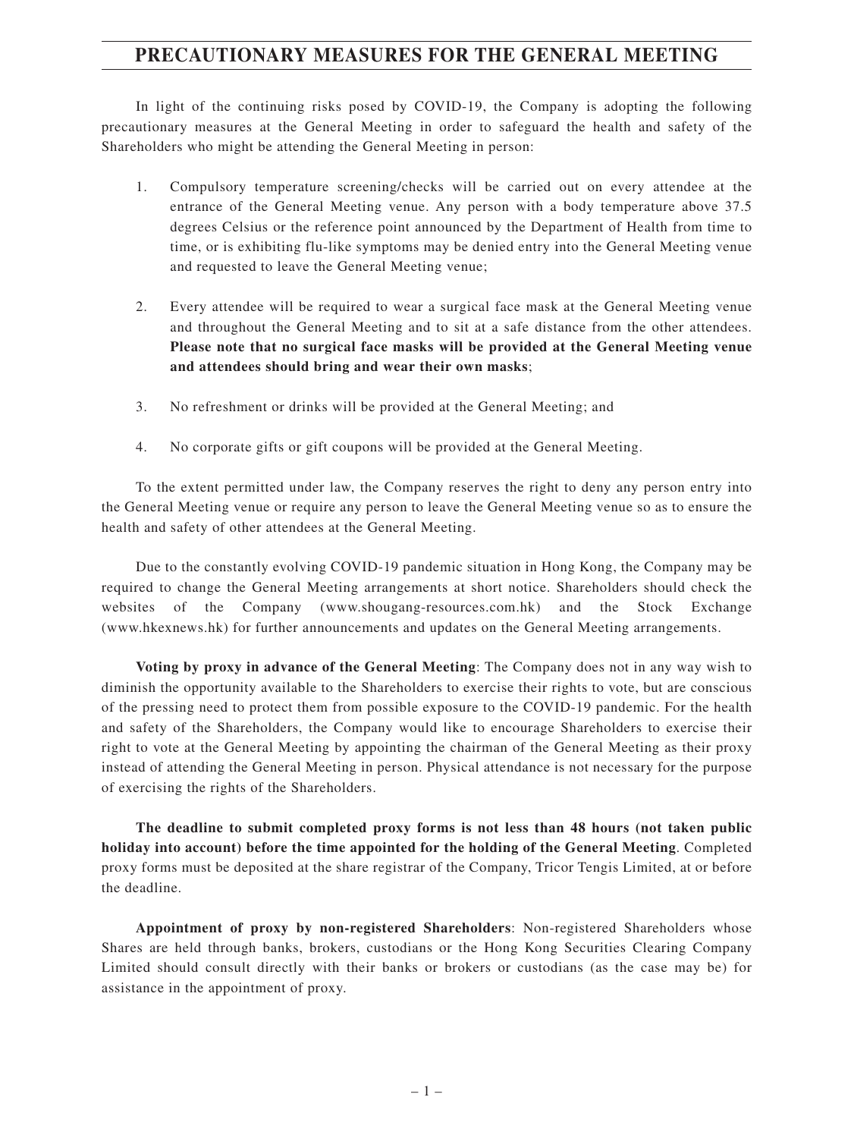## **PRECAUTIONARY MEASURES FOR THE GENERAL MEETING**

In light of the continuing risks posed by COVID-19, the Company is adopting the following precautionary measures at the General Meeting in order to safeguard the health and safety of the Shareholders who might be attending the General Meeting in person:

- 1. Compulsory temperature screening/checks will be carried out on every attendee at the entrance of the General Meeting venue. Any person with a body temperature above 37.5 degrees Celsius or the reference point announced by the Department of Health from time to time, or is exhibiting flu-like symptoms may be denied entry into the General Meeting venue and requested to leave the General Meeting venue;
- 2. Every attendee will be required to wear a surgical face mask at the General Meeting venue and throughout the General Meeting and to sit at a safe distance from the other attendees. **Please note that no surgical face masks will be provided at the General Meeting venue and attendees should bring and wear their own masks**;
- 3. No refreshment or drinks will be provided at the General Meeting; and
- 4. No corporate gifts or gift coupons will be provided at the General Meeting.

To the extent permitted under law, the Company reserves the right to deny any person entry into the General Meeting venue or require any person to leave the General Meeting venue so as to ensure the health and safety of other attendees at the General Meeting.

Due to the constantly evolving COVID-19 pandemic situation in Hong Kong, the Company may be required to change the General Meeting arrangements at short notice. Shareholders should check the websites of the Company (www.shougang-resources.com.hk) and the Stock Exchange (www.hkexnews.hk) for further announcements and updates on the General Meeting arrangements.

**Voting by proxy in advance of the General Meeting**: The Company does not in any way wish to diminish the opportunity available to the Shareholders to exercise their rights to vote, but are conscious of the pressing need to protect them from possible exposure to the COVID-19 pandemic. For the health and safety of the Shareholders, the Company would like to encourage Shareholders to exercise their right to vote at the General Meeting by appointing the chairman of the General Meeting as their proxy instead of attending the General Meeting in person. Physical attendance is not necessary for the purpose of exercising the rights of the Shareholders.

**The deadline to submit completed proxy forms is not less than 48 hours (not taken public holiday into account) before the time appointed for the holding of the General Meeting**. Completed proxy forms must be deposited at the share registrar of the Company, Tricor Tengis Limited, at or before the deadline.

**Appointment of proxy by non-registered Shareholders**: Non-registered Shareholders whose Shares are held through banks, brokers, custodians or the Hong Kong Securities Clearing Company Limited should consult directly with their banks or brokers or custodians (as the case may be) for assistance in the appointment of proxy.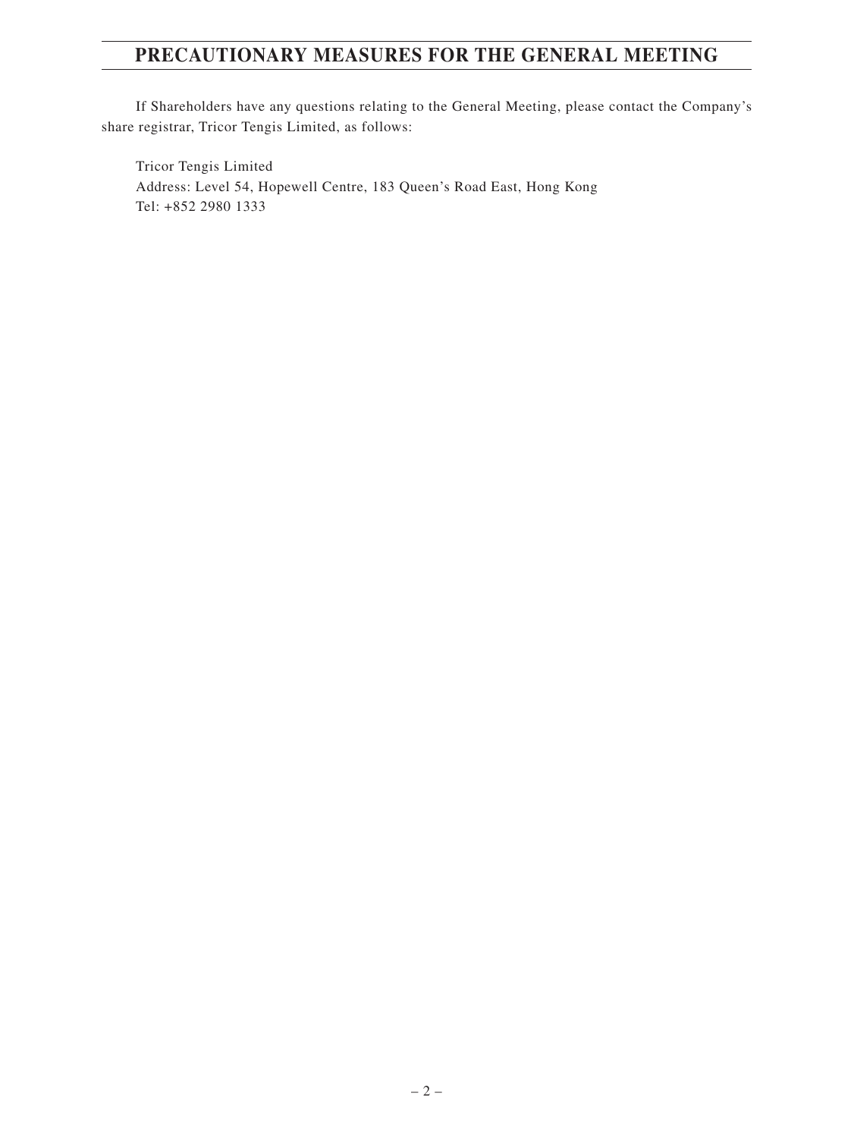# **PRECAUTIONARY MEASURES FOR THE GENERAL MEETING**

If Shareholders have any questions relating to the General Meeting, please contact the Company's share registrar, Tricor Tengis Limited, as follows:

Tricor Tengis Limited Address: Level 54, Hopewell Centre, 183 Queen's Road East, Hong Kong Tel: +852 2980 1333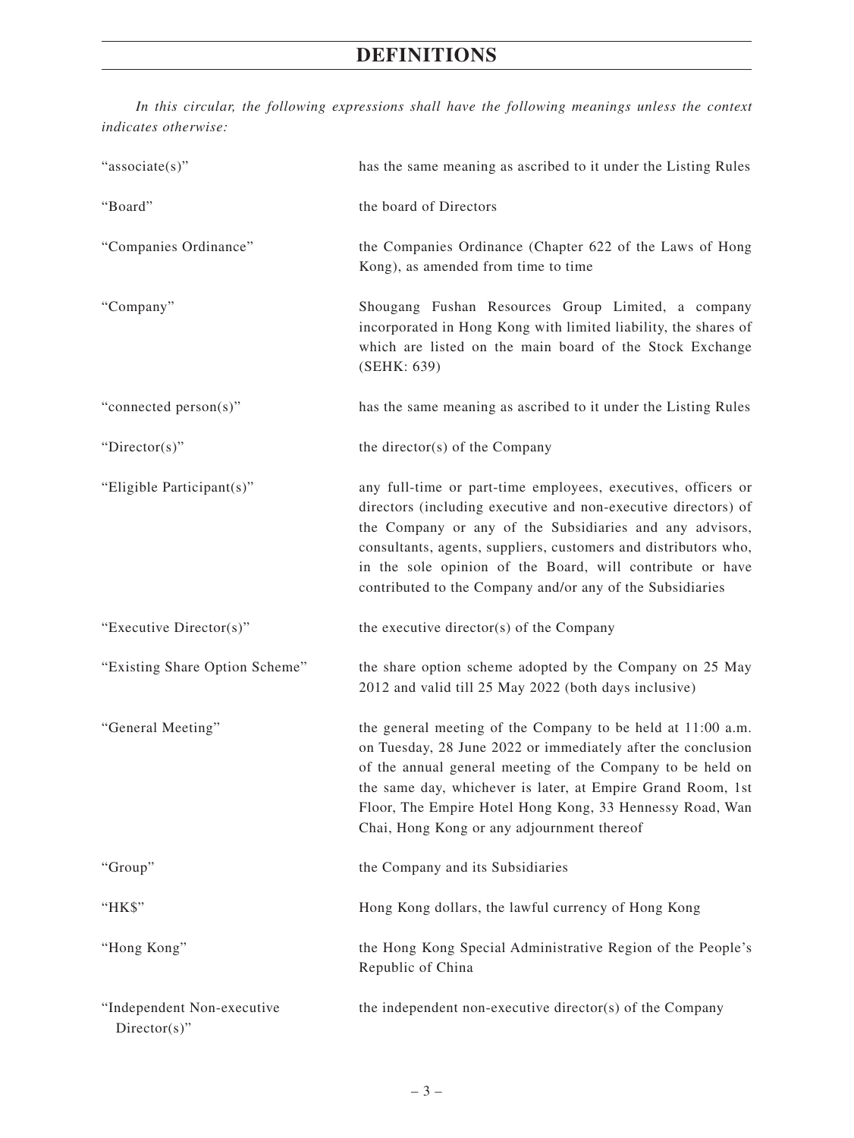# **DEFINITIONS**

*In this circular, the following expressions shall have the following meanings unless the context indicates otherwise:*

| "associate(s)"                 | has the same meaning as ascribed to it under the Listing Rules                                                                                                                                                                                                                                                                                                                           |
|--------------------------------|------------------------------------------------------------------------------------------------------------------------------------------------------------------------------------------------------------------------------------------------------------------------------------------------------------------------------------------------------------------------------------------|
| "Board"                        | the board of Directors                                                                                                                                                                                                                                                                                                                                                                   |
| "Companies Ordinance"          | the Companies Ordinance (Chapter 622 of the Laws of Hong<br>Kong), as amended from time to time                                                                                                                                                                                                                                                                                          |
| "Company"                      | Shougang Fushan Resources Group Limited, a company<br>incorporated in Hong Kong with limited liability, the shares of<br>which are listed on the main board of the Stock Exchange<br>(SEHK: 639)                                                                                                                                                                                         |
| "connected person(s)"          | has the same meaning as ascribed to it under the Listing Rules                                                                                                                                                                                                                                                                                                                           |
| " $Directory$ "                | the director(s) of the Company                                                                                                                                                                                                                                                                                                                                                           |
| "Eligible Participant(s)"      | any full-time or part-time employees, executives, officers or<br>directors (including executive and non-executive directors) of<br>the Company or any of the Subsidiaries and any advisors,<br>consultants, agents, suppliers, customers and distributors who,<br>in the sole opinion of the Board, will contribute or have<br>contributed to the Company and/or any of the Subsidiaries |
| "Executive Director(s)"        | the executive director(s) of the Company                                                                                                                                                                                                                                                                                                                                                 |
| "Existing Share Option Scheme" | the share option scheme adopted by the Company on 25 May<br>2012 and valid till 25 May 2022 (both days inclusive)                                                                                                                                                                                                                                                                        |
|                                |                                                                                                                                                                                                                                                                                                                                                                                          |
| "General Meeting"              | the general meeting of the Company to be held at 11:00 a.m.<br>on Tuesday, 28 June 2022 or immediately after the conclusion<br>of the annual general meeting of the Company to be held on<br>the same day, whichever is later, at Empire Grand Room, 1st<br>Floor, The Empire Hotel Hong Kong, 33 Hennessy Road, Wan<br>Chai, Hong Kong or any adjournment thereof                       |
| "Group"                        | the Company and its Subsidiaries                                                                                                                                                                                                                                                                                                                                                         |
| "HK\$"                         | Hong Kong dollars, the lawful currency of Hong Kong                                                                                                                                                                                                                                                                                                                                      |
| "Hong Kong"                    | the Hong Kong Special Administrative Region of the People's<br>Republic of China                                                                                                                                                                                                                                                                                                         |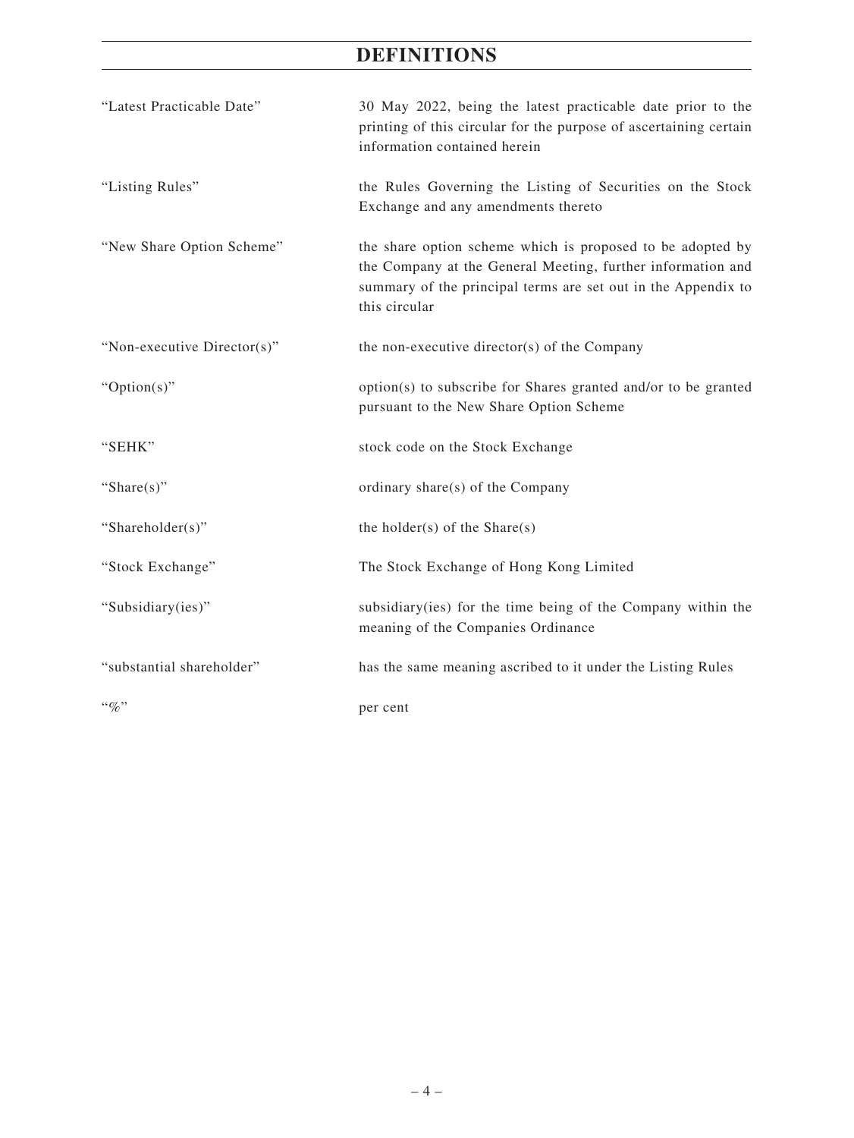# **DEFINITIONS**

| "Latest Practicable Date"   | 30 May 2022, being the latest practicable date prior to the<br>printing of this circular for the purpose of ascertaining certain<br>information contained herein                                            |
|-----------------------------|-------------------------------------------------------------------------------------------------------------------------------------------------------------------------------------------------------------|
| "Listing Rules"             | the Rules Governing the Listing of Securities on the Stock<br>Exchange and any amendments thereto                                                                                                           |
| "New Share Option Scheme"   | the share option scheme which is proposed to be adopted by<br>the Company at the General Meeting, further information and<br>summary of the principal terms are set out in the Appendix to<br>this circular |
| "Non-executive Director(s)" | the non-executive director(s) of the Company                                                                                                                                                                |
| " $Option(s)$ "             | option(s) to subscribe for Shares granted and/or to be granted<br>pursuant to the New Share Option Scheme                                                                                                   |
| "SEHK"                      | stock code on the Stock Exchange                                                                                                                                                                            |
| "Share $(s)$ "              | ordinary share(s) of the Company                                                                                                                                                                            |
| "Shareholder(s)"            | the holder(s) of the Share(s)                                                                                                                                                                               |
| "Stock Exchange"            | The Stock Exchange of Hong Kong Limited                                                                                                                                                                     |
| "Subsidiary(ies)"           | subsidiary (ies) for the time being of the Company within the<br>meaning of the Companies Ordinance                                                                                                         |
| "substantial shareholder"   | has the same meaning ascribed to it under the Listing Rules                                                                                                                                                 |
| $``\%"$                     | per cent                                                                                                                                                                                                    |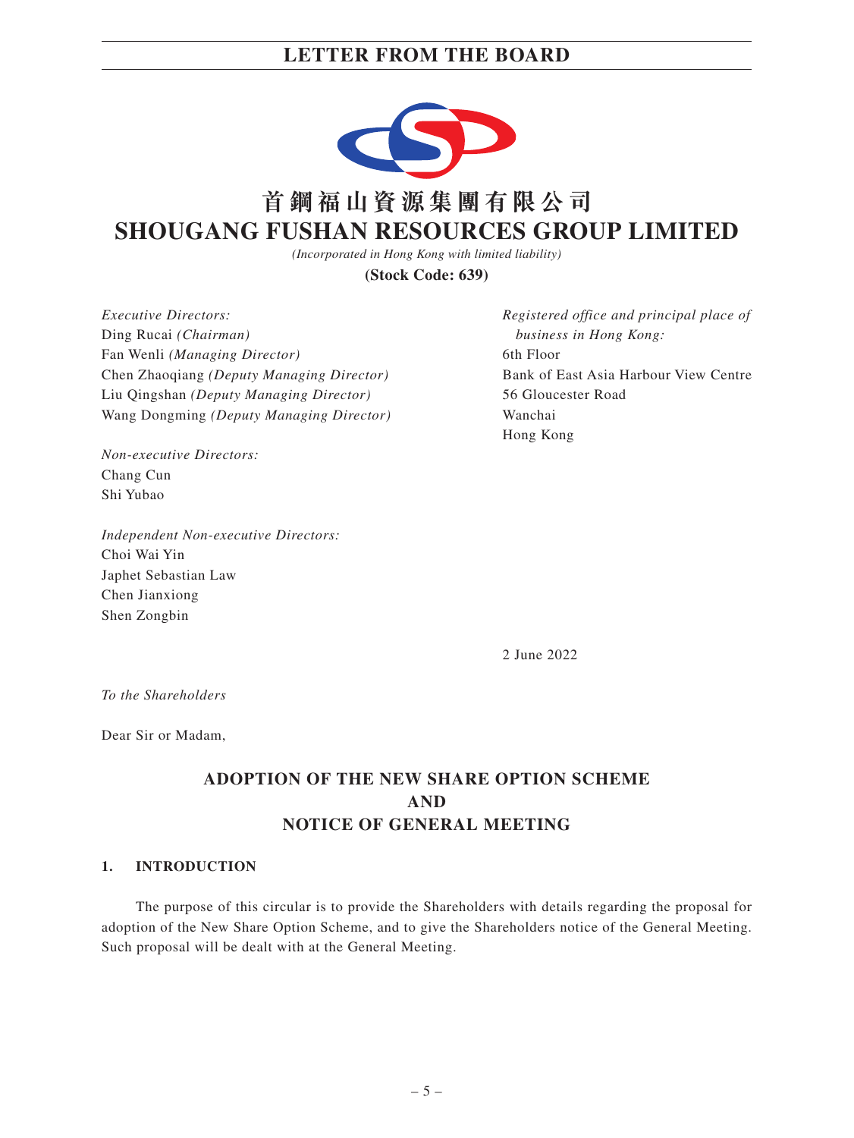

# **首鋼福山資源集團有限公司 SHOUGANG FUSHAN RESOURCES GROUP LIMITED**

*(Incorporated in Hong Kong with limited liability)*

**(Stock Code: 639)**

*Executive Directors:* Ding Rucai *(Chairman)* Fan Wenli *(Managing Director)* Chen Zhaoqiang *(Deputy Managing Director)* Liu Qingshan *(Deputy Managing Director)* Wang Dongming *(Deputy Managing Director)*

*Non-executive Directors:* Chang Cun Shi Yubao

*Independent Non-executive Directors:* Choi Wai Yin Japhet Sebastian Law Chen Jianxiong Shen Zongbin

*Registered office and principal place of business in Hong Kong:* 6th Floor Bank of East Asia Harbour View Centre 56 Gloucester Road Wanchai Hong Kong

2 June 2022

*To the Shareholders*

Dear Sir or Madam,

# **ADOPTION OF THE NEW SHARE OPTION SCHEME AND NOTICE OF GENERAL MEETING**

#### **1. INTRODUCTION**

The purpose of this circular is to provide the Shareholders with details regarding the proposal for adoption of the New Share Option Scheme, and to give the Shareholders notice of the General Meeting. Such proposal will be dealt with at the General Meeting.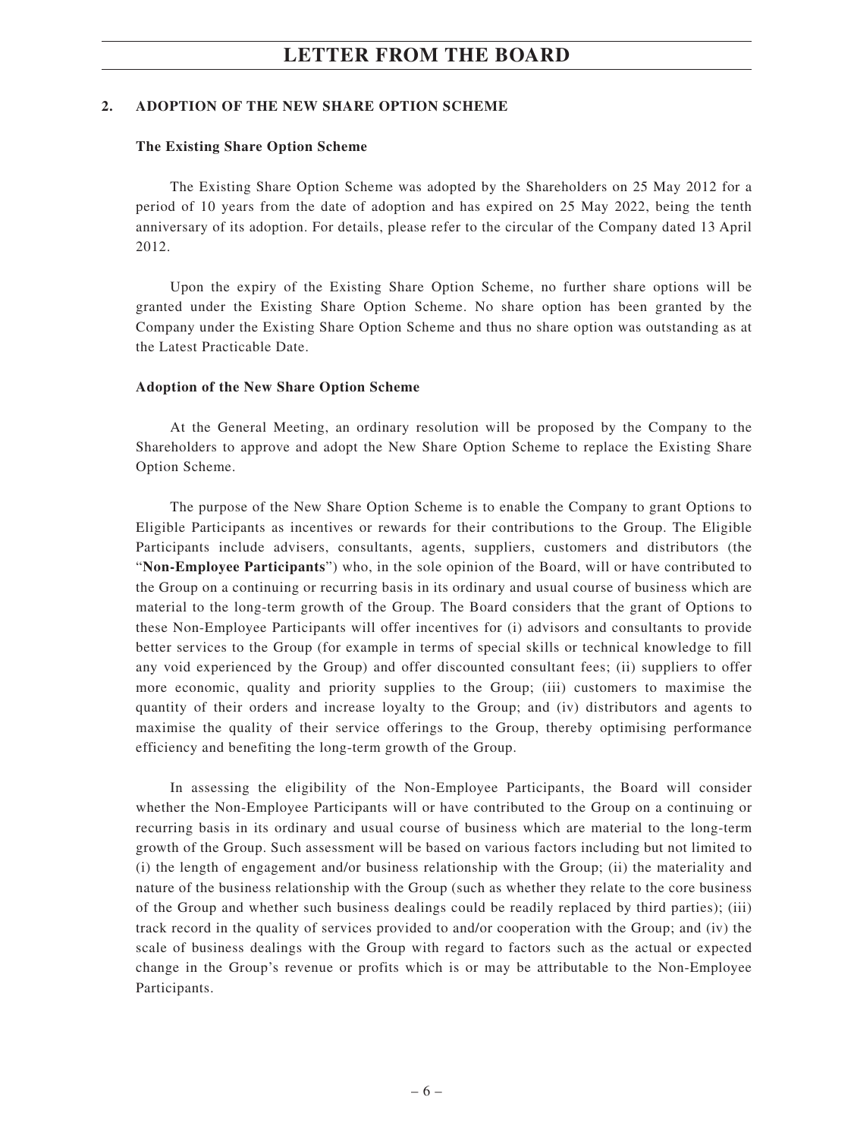#### **2. ADOPTION OF THE NEW SHARE OPTION SCHEME**

#### **The Existing Share Option Scheme**

The Existing Share Option Scheme was adopted by the Shareholders on 25 May 2012 for a period of 10 years from the date of adoption and has expired on 25 May 2022, being the tenth anniversary of its adoption. For details, please refer to the circular of the Company dated 13 April 2012.

Upon the expiry of the Existing Share Option Scheme, no further share options will be granted under the Existing Share Option Scheme. No share option has been granted by the Company under the Existing Share Option Scheme and thus no share option was outstanding as at the Latest Practicable Date.

#### **Adoption of the New Share Option Scheme**

At the General Meeting, an ordinary resolution will be proposed by the Company to the Shareholders to approve and adopt the New Share Option Scheme to replace the Existing Share Option Scheme.

The purpose of the New Share Option Scheme is to enable the Company to grant Options to Eligible Participants as incentives or rewards for their contributions to the Group. The Eligible Participants include advisers, consultants, agents, suppliers, customers and distributors (the "**Non-Employee Participants**") who, in the sole opinion of the Board, will or have contributed to the Group on a continuing or recurring basis in its ordinary and usual course of business which are material to the long-term growth of the Group. The Board considers that the grant of Options to these Non-Employee Participants will offer incentives for (i) advisors and consultants to provide better services to the Group (for example in terms of special skills or technical knowledge to fill any void experienced by the Group) and offer discounted consultant fees; (ii) suppliers to offer more economic, quality and priority supplies to the Group; (iii) customers to maximise the quantity of their orders and increase loyalty to the Group; and (iv) distributors and agents to maximise the quality of their service offerings to the Group, thereby optimising performance efficiency and benefiting the long-term growth of the Group.

In assessing the eligibility of the Non-Employee Participants, the Board will consider whether the Non-Employee Participants will or have contributed to the Group on a continuing or recurring basis in its ordinary and usual course of business which are material to the long-term growth of the Group. Such assessment will be based on various factors including but not limited to (i) the length of engagement and/or business relationship with the Group; (ii) the materiality and nature of the business relationship with the Group (such as whether they relate to the core business of the Group and whether such business dealings could be readily replaced by third parties); (iii) track record in the quality of services provided to and/or cooperation with the Group; and (iv) the scale of business dealings with the Group with regard to factors such as the actual or expected change in the Group's revenue or profits which is or may be attributable to the Non-Employee Participants.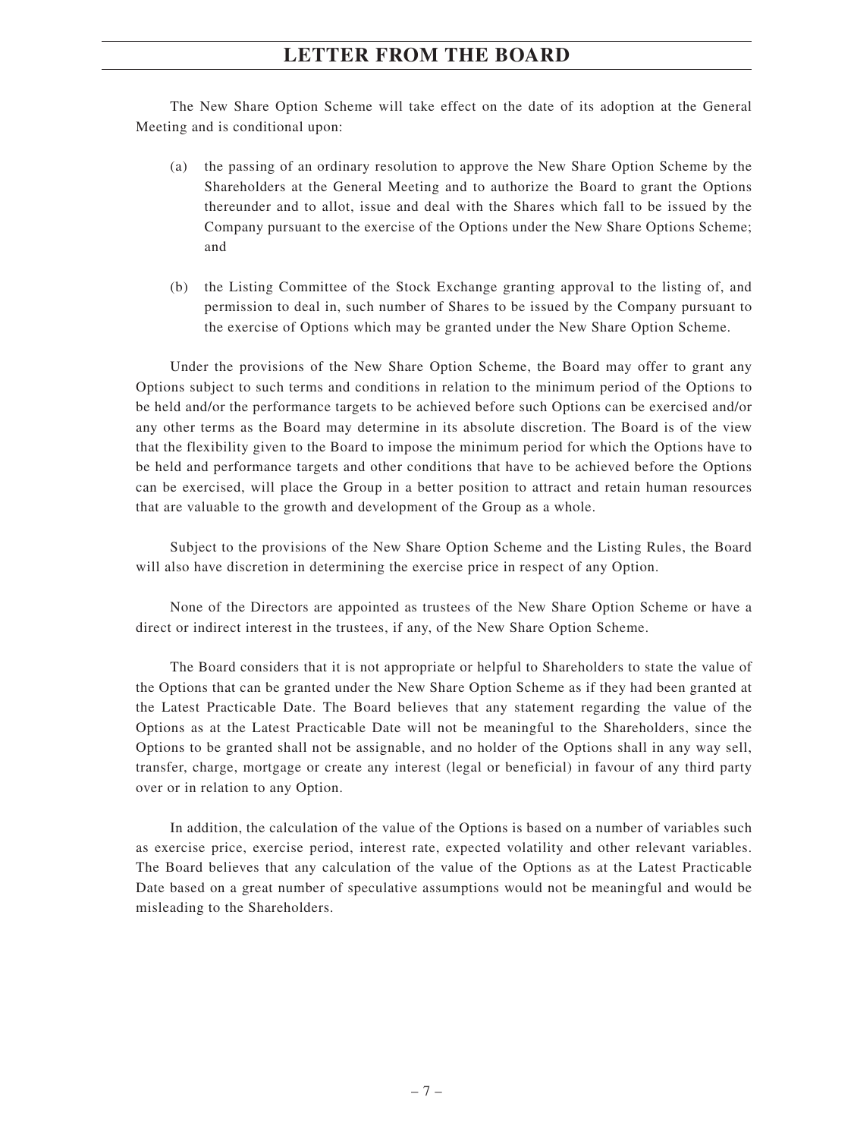The New Share Option Scheme will take effect on the date of its adoption at the General Meeting and is conditional upon:

- (a) the passing of an ordinary resolution to approve the New Share Option Scheme by the Shareholders at the General Meeting and to authorize the Board to grant the Options thereunder and to allot, issue and deal with the Shares which fall to be issued by the Company pursuant to the exercise of the Options under the New Share Options Scheme; and
- (b) the Listing Committee of the Stock Exchange granting approval to the listing of, and permission to deal in, such number of Shares to be issued by the Company pursuant to the exercise of Options which may be granted under the New Share Option Scheme.

Under the provisions of the New Share Option Scheme, the Board may offer to grant any Options subject to such terms and conditions in relation to the minimum period of the Options to be held and/or the performance targets to be achieved before such Options can be exercised and/or any other terms as the Board may determine in its absolute discretion. The Board is of the view that the flexibility given to the Board to impose the minimum period for which the Options have to be held and performance targets and other conditions that have to be achieved before the Options can be exercised, will place the Group in a better position to attract and retain human resources that are valuable to the growth and development of the Group as a whole.

Subject to the provisions of the New Share Option Scheme and the Listing Rules, the Board will also have discretion in determining the exercise price in respect of any Option.

None of the Directors are appointed as trustees of the New Share Option Scheme or have a direct or indirect interest in the trustees, if any, of the New Share Option Scheme.

The Board considers that it is not appropriate or helpful to Shareholders to state the value of the Options that can be granted under the New Share Option Scheme as if they had been granted at the Latest Practicable Date. The Board believes that any statement regarding the value of the Options as at the Latest Practicable Date will not be meaningful to the Shareholders, since the Options to be granted shall not be assignable, and no holder of the Options shall in any way sell, transfer, charge, mortgage or create any interest (legal or beneficial) in favour of any third party over or in relation to any Option.

In addition, the calculation of the value of the Options is based on a number of variables such as exercise price, exercise period, interest rate, expected volatility and other relevant variables. The Board believes that any calculation of the value of the Options as at the Latest Practicable Date based on a great number of speculative assumptions would not be meaningful and would be misleading to the Shareholders.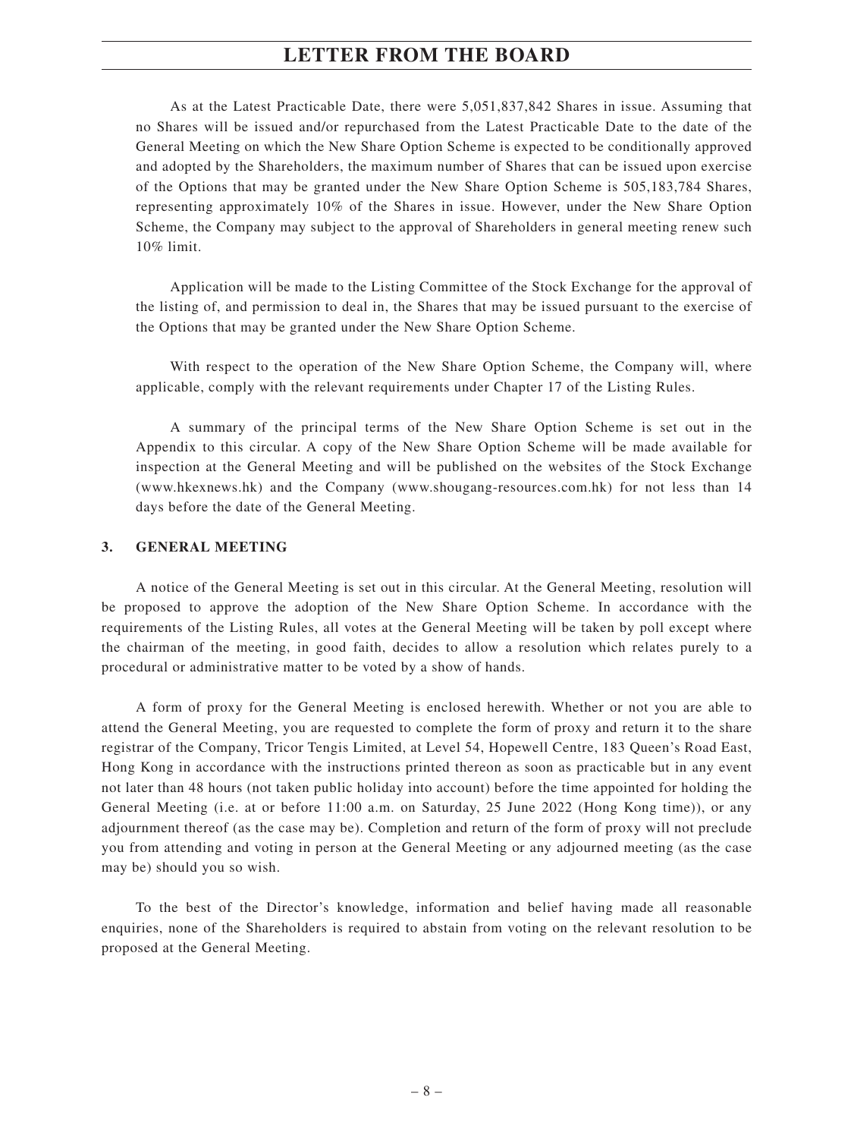As at the Latest Practicable Date, there were 5,051,837,842 Shares in issue. Assuming that no Shares will be issued and/or repurchased from the Latest Practicable Date to the date of the General Meeting on which the New Share Option Scheme is expected to be conditionally approved and adopted by the Shareholders, the maximum number of Shares that can be issued upon exercise of the Options that may be granted under the New Share Option Scheme is 505,183,784 Shares, representing approximately 10% of the Shares in issue. However, under the New Share Option Scheme, the Company may subject to the approval of Shareholders in general meeting renew such 10% limit.

Application will be made to the Listing Committee of the Stock Exchange for the approval of the listing of, and permission to deal in, the Shares that may be issued pursuant to the exercise of the Options that may be granted under the New Share Option Scheme.

With respect to the operation of the New Share Option Scheme, the Company will, where applicable, comply with the relevant requirements under Chapter 17 of the Listing Rules.

A summary of the principal terms of the New Share Option Scheme is set out in the Appendix to this circular. A copy of the New Share Option Scheme will be made available for inspection at the General Meeting and will be published on the websites of the Stock Exchange (www.hkexnews.hk) and the Company (www.shougang-resources.com.hk) for not less than 14 days before the date of the General Meeting.

#### **3. GENERAL MEETING**

A notice of the General Meeting is set out in this circular. At the General Meeting, resolution will be proposed to approve the adoption of the New Share Option Scheme. In accordance with the requirements of the Listing Rules, all votes at the General Meeting will be taken by poll except where the chairman of the meeting, in good faith, decides to allow a resolution which relates purely to a procedural or administrative matter to be voted by a show of hands.

A form of proxy for the General Meeting is enclosed herewith. Whether or not you are able to attend the General Meeting, you are requested to complete the form of proxy and return it to the share registrar of the Company, Tricor Tengis Limited, at Level 54, Hopewell Centre, 183 Queen's Road East, Hong Kong in accordance with the instructions printed thereon as soon as practicable but in any event not later than 48 hours (not taken public holiday into account) before the time appointed for holding the General Meeting (i.e. at or before 11:00 a.m. on Saturday, 25 June 2022 (Hong Kong time)), or any adjournment thereof (as the case may be). Completion and return of the form of proxy will not preclude you from attending and voting in person at the General Meeting or any adjourned meeting (as the case may be) should you so wish.

To the best of the Director's knowledge, information and belief having made all reasonable enquiries, none of the Shareholders is required to abstain from voting on the relevant resolution to be proposed at the General Meeting.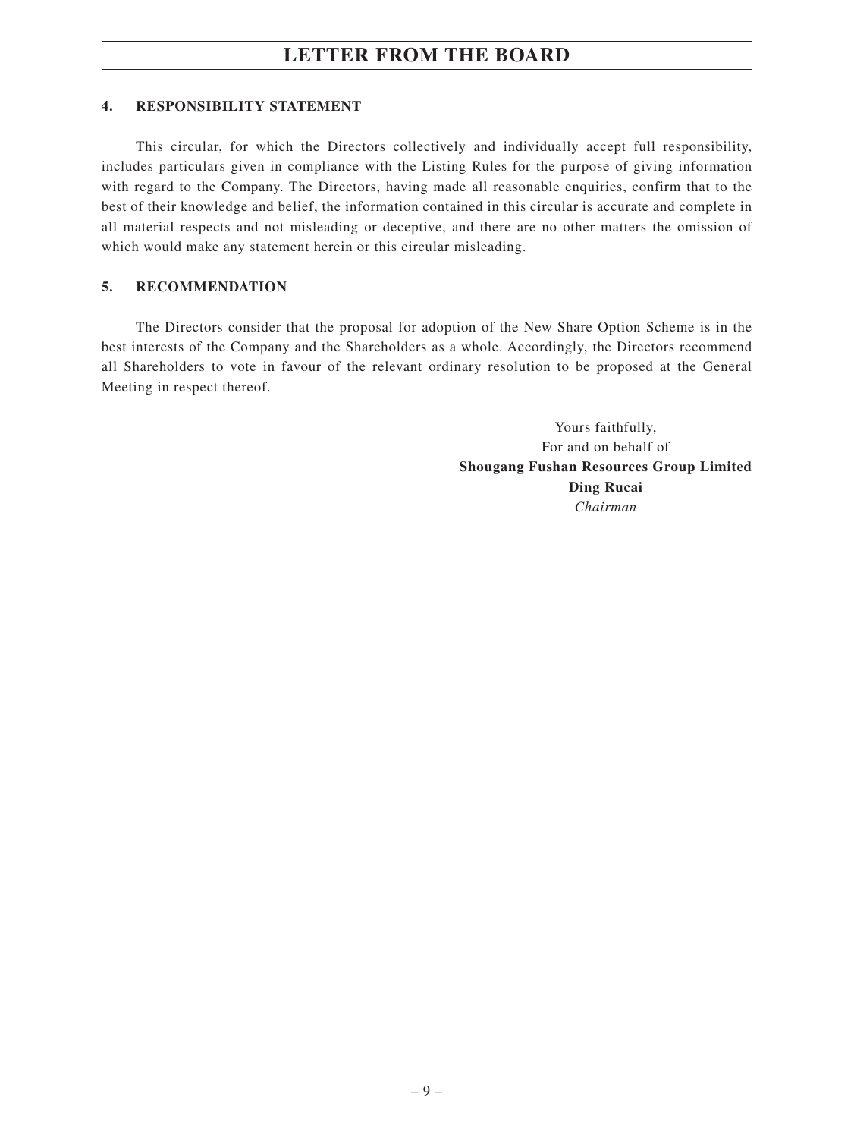#### **4. RESPONSIBILITY STATEMENT**

This circular, for which the Directors collectively and individually accept full responsibility, includes particulars given in compliance with the Listing Rules for the purpose of giving information with regard to the Company. The Directors, having made all reasonable enquiries, confirm that to the best of their knowledge and belief, the information contained in this circular is accurate and complete in all material respects and not misleading or deceptive, and there are no other matters the omission of which would make any statement herein or this circular misleading.

#### **5. RECOMMENDATION**

The Directors consider that the proposal for adoption of the New Share Option Scheme is in the best interests of the Company and the Shareholders as a whole. Accordingly, the Directors recommend all Shareholders to vote in favour of the relevant ordinary resolution to be proposed at the General Meeting in respect thereof.

> Yours faithfully, For and on behalf of **Shougang Fushan Resources Group Limited Ding Rucai** *Chairman*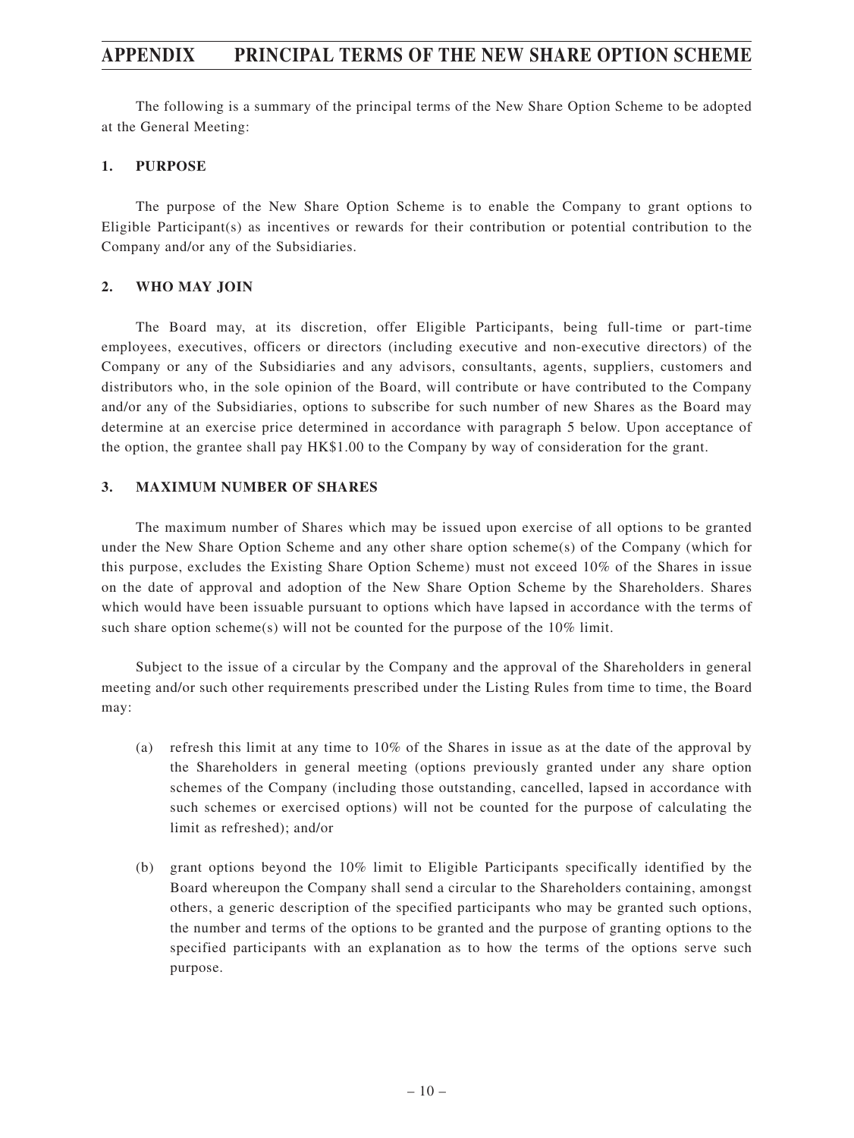The following is a summary of the principal terms of the New Share Option Scheme to be adopted at the General Meeting:

#### **1. PURPOSE**

The purpose of the New Share Option Scheme is to enable the Company to grant options to Eligible Participant(s) as incentives or rewards for their contribution or potential contribution to the Company and/or any of the Subsidiaries.

#### **2. WHO MAY JOIN**

The Board may, at its discretion, offer Eligible Participants, being full-time or part-time employees, executives, officers or directors (including executive and non-executive directors) of the Company or any of the Subsidiaries and any advisors, consultants, agents, suppliers, customers and distributors who, in the sole opinion of the Board, will contribute or have contributed to the Company and/or any of the Subsidiaries, options to subscribe for such number of new Shares as the Board may determine at an exercise price determined in accordance with paragraph 5 below. Upon acceptance of the option, the grantee shall pay HK\$1.00 to the Company by way of consideration for the grant.

#### **3. MAXIMUM NUMBER OF SHARES**

The maximum number of Shares which may be issued upon exercise of all options to be granted under the New Share Option Scheme and any other share option scheme(s) of the Company (which for this purpose, excludes the Existing Share Option Scheme) must not exceed 10% of the Shares in issue on the date of approval and adoption of the New Share Option Scheme by the Shareholders. Shares which would have been issuable pursuant to options which have lapsed in accordance with the terms of such share option scheme(s) will not be counted for the purpose of the 10% limit.

Subject to the issue of a circular by the Company and the approval of the Shareholders in general meeting and/or such other requirements prescribed under the Listing Rules from time to time, the Board may:

- (a) refresh this limit at any time to 10% of the Shares in issue as at the date of the approval by the Shareholders in general meeting (options previously granted under any share option schemes of the Company (including those outstanding, cancelled, lapsed in accordance with such schemes or exercised options) will not be counted for the purpose of calculating the limit as refreshed); and/or
- (b) grant options beyond the 10% limit to Eligible Participants specifically identified by the Board whereupon the Company shall send a circular to the Shareholders containing, amongst others, a generic description of the specified participants who may be granted such options, the number and terms of the options to be granted and the purpose of granting options to the specified participants with an explanation as to how the terms of the options serve such purpose.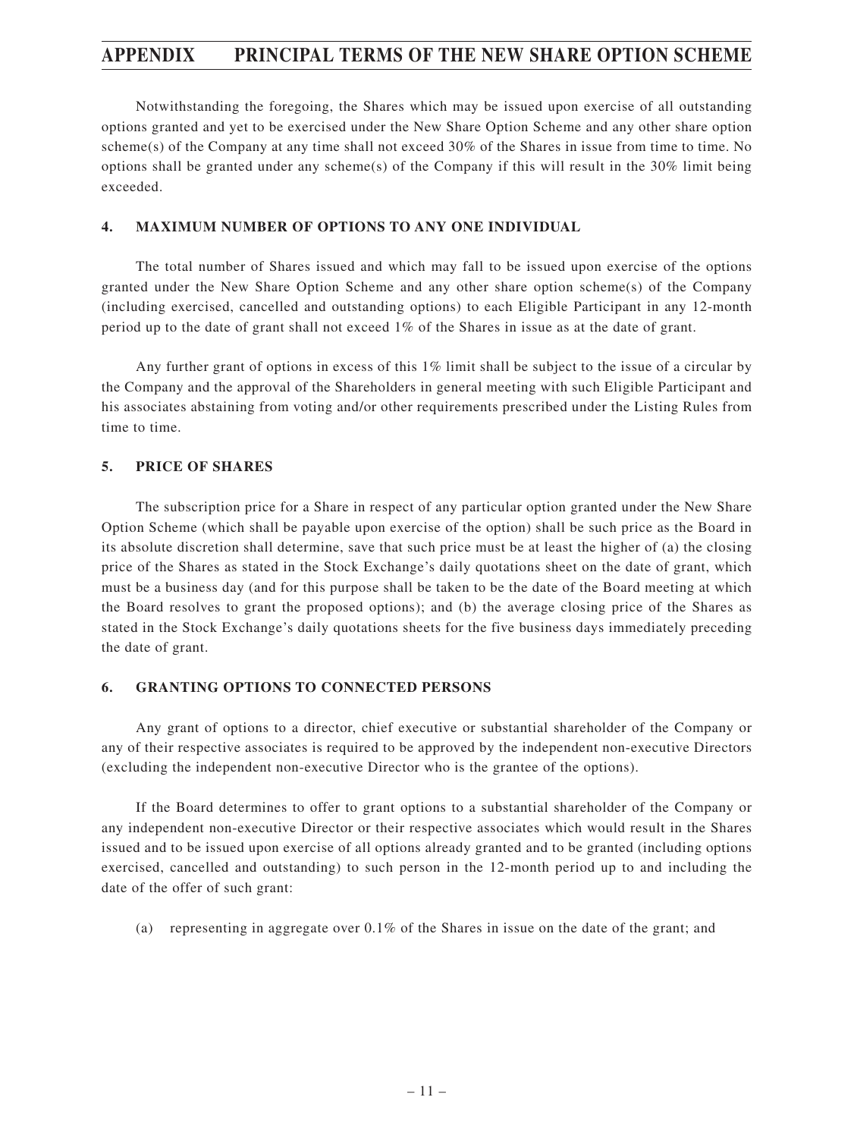Notwithstanding the foregoing, the Shares which may be issued upon exercise of all outstanding options granted and yet to be exercised under the New Share Option Scheme and any other share option scheme(s) of the Company at any time shall not exceed 30% of the Shares in issue from time to time. No options shall be granted under any scheme(s) of the Company if this will result in the 30% limit being exceeded.

#### **4. MAXIMUM NUMBER OF OPTIONS TO ANY ONE INDIVIDUAL**

The total number of Shares issued and which may fall to be issued upon exercise of the options granted under the New Share Option Scheme and any other share option scheme(s) of the Company (including exercised, cancelled and outstanding options) to each Eligible Participant in any 12-month period up to the date of grant shall not exceed 1% of the Shares in issue as at the date of grant.

Any further grant of options in excess of this 1% limit shall be subject to the issue of a circular by the Company and the approval of the Shareholders in general meeting with such Eligible Participant and his associates abstaining from voting and/or other requirements prescribed under the Listing Rules from time to time.

#### **5. PRICE OF SHARES**

The subscription price for a Share in respect of any particular option granted under the New Share Option Scheme (which shall be payable upon exercise of the option) shall be such price as the Board in its absolute discretion shall determine, save that such price must be at least the higher of (a) the closing price of the Shares as stated in the Stock Exchange's daily quotations sheet on the date of grant, which must be a business day (and for this purpose shall be taken to be the date of the Board meeting at which the Board resolves to grant the proposed options); and (b) the average closing price of the Shares as stated in the Stock Exchange's daily quotations sheets for the five business days immediately preceding the date of grant.

#### **6. GRANTING OPTIONS TO CONNECTED PERSONS**

Any grant of options to a director, chief executive or substantial shareholder of the Company or any of their respective associates is required to be approved by the independent non-executive Directors (excluding the independent non-executive Director who is the grantee of the options).

If the Board determines to offer to grant options to a substantial shareholder of the Company or any independent non-executive Director or their respective associates which would result in the Shares issued and to be issued upon exercise of all options already granted and to be granted (including options exercised, cancelled and outstanding) to such person in the 12-month period up to and including the date of the offer of such grant:

(a) representing in aggregate over 0.1% of the Shares in issue on the date of the grant; and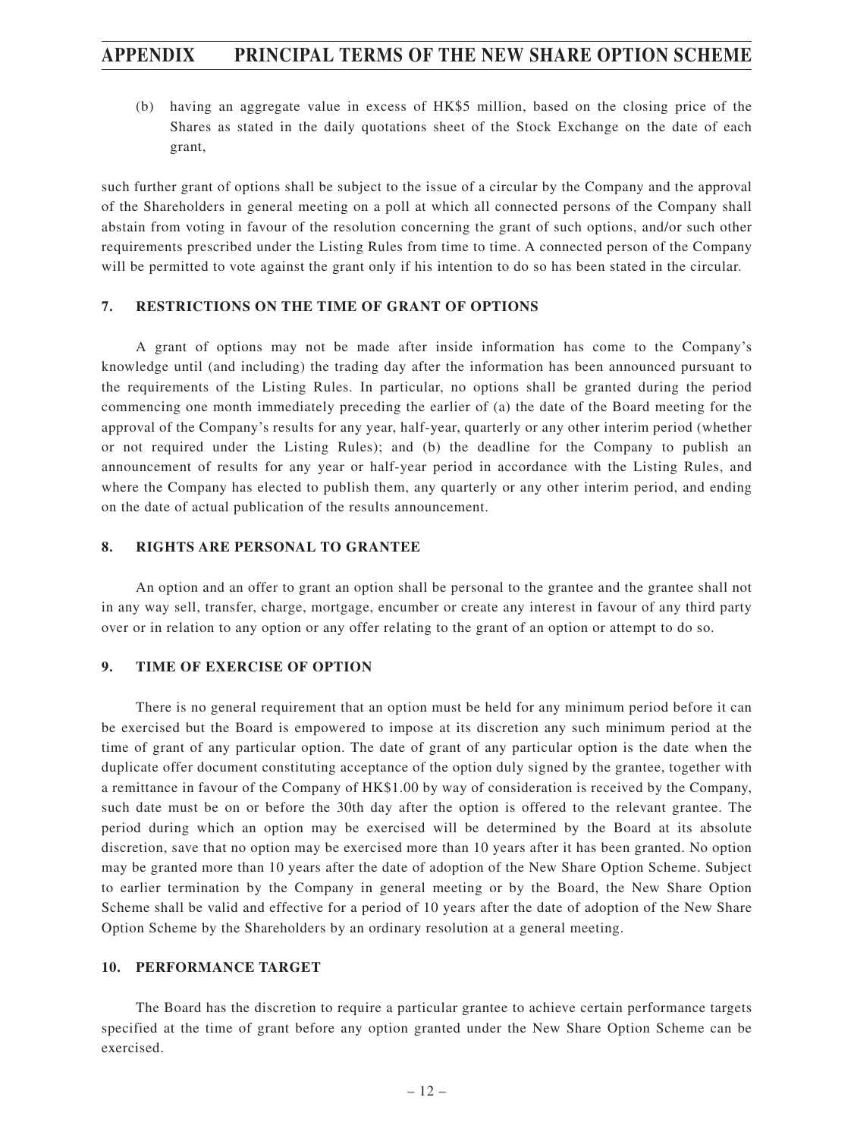(b) having an aggregate value in excess of HK\$5 million, based on the closing price of the Shares as stated in the daily quotations sheet of the Stock Exchange on the date of each grant,

such further grant of options shall be subject to the issue of a circular by the Company and the approval of the Shareholders in general meeting on a poll at which all connected persons of the Company shall abstain from voting in favour of the resolution concerning the grant of such options, and/or such other requirements prescribed under the Listing Rules from time to time. A connected person of the Company will be permitted to vote against the grant only if his intention to do so has been stated in the circular.

#### **7. RESTRICTIONS ON THE TIME OF GRANT OF OPTIONS**

A grant of options may not be made after inside information has come to the Company's knowledge until (and including) the trading day after the information has been announced pursuant to the requirements of the Listing Rules. In particular, no options shall be granted during the period commencing one month immediately preceding the earlier of (a) the date of the Board meeting for the approval of the Company's results for any year, half-year, quarterly or any other interim period (whether or not required under the Listing Rules); and (b) the deadline for the Company to publish an announcement of results for any year or half-year period in accordance with the Listing Rules, and where the Company has elected to publish them, any quarterly or any other interim period, and ending on the date of actual publication of the results announcement.

#### **8. RIGHTS ARE PERSONAL TO GRANTEE**

An option and an offer to grant an option shall be personal to the grantee and the grantee shall not in any way sell, transfer, charge, mortgage, encumber or create any interest in favour of any third party over or in relation to any option or any offer relating to the grant of an option or attempt to do so.

#### **9. TIME OF EXERCISE OF OPTION**

There is no general requirement that an option must be held for any minimum period before it can be exercised but the Board is empowered to impose at its discretion any such minimum period at the time of grant of any particular option. The date of grant of any particular option is the date when the duplicate offer document constituting acceptance of the option duly signed by the grantee, together with a remittance in favour of the Company of HK\$1.00 by way of consideration is received by the Company, such date must be on or before the 30th day after the option is offered to the relevant grantee. The period during which an option may be exercised will be determined by the Board at its absolute discretion, save that no option may be exercised more than 10 years after it has been granted. No option may be granted more than 10 years after the date of adoption of the New Share Option Scheme. Subject to earlier termination by the Company in general meeting or by the Board, the New Share Option Scheme shall be valid and effective for a period of 10 years after the date of adoption of the New Share Option Scheme by the Shareholders by an ordinary resolution at a general meeting.

#### **10. PERFORMANCE TARGET**

The Board has the discretion to require a particular grantee to achieve certain performance targets specified at the time of grant before any option granted under the New Share Option Scheme can be exercised.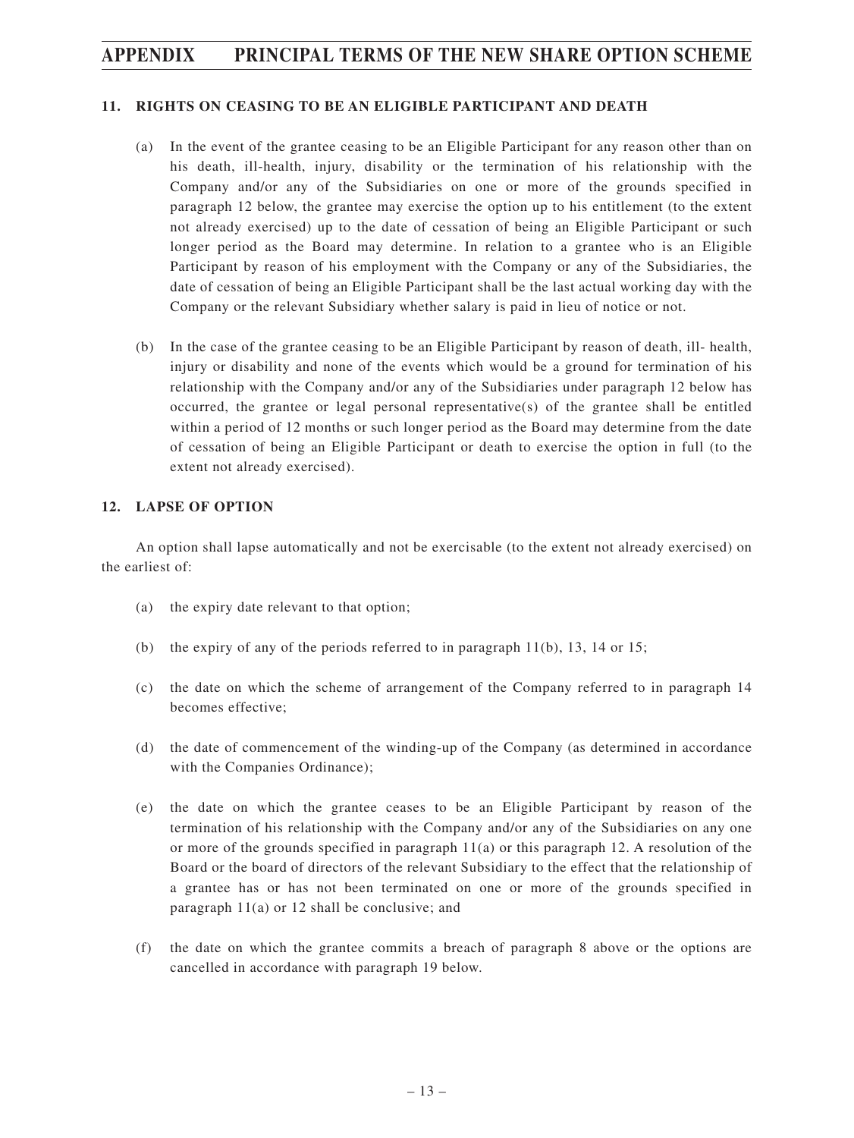#### **11. RIGHTS ON CEASING TO BE AN ELIGIBLE PARTICIPANT AND DEATH**

- (a) In the event of the grantee ceasing to be an Eligible Participant for any reason other than on his death, ill-health, injury, disability or the termination of his relationship with the Company and/or any of the Subsidiaries on one or more of the grounds specified in paragraph 12 below, the grantee may exercise the option up to his entitlement (to the extent not already exercised) up to the date of cessation of being an Eligible Participant or such longer period as the Board may determine. In relation to a grantee who is an Eligible Participant by reason of his employment with the Company or any of the Subsidiaries, the date of cessation of being an Eligible Participant shall be the last actual working day with the Company or the relevant Subsidiary whether salary is paid in lieu of notice or not.
- (b) In the case of the grantee ceasing to be an Eligible Participant by reason of death, ill- health, injury or disability and none of the events which would be a ground for termination of his relationship with the Company and/or any of the Subsidiaries under paragraph 12 below has occurred, the grantee or legal personal representative(s) of the grantee shall be entitled within a period of 12 months or such longer period as the Board may determine from the date of cessation of being an Eligible Participant or death to exercise the option in full (to the extent not already exercised).

#### **12. LAPSE OF OPTION**

An option shall lapse automatically and not be exercisable (to the extent not already exercised) on the earliest of:

- (a) the expiry date relevant to that option;
- (b) the expiry of any of the periods referred to in paragraph  $11(b)$ , 13, 14 or 15;
- (c) the date on which the scheme of arrangement of the Company referred to in paragraph 14 becomes effective;
- (d) the date of commencement of the winding-up of the Company (as determined in accordance with the Companies Ordinance);
- (e) the date on which the grantee ceases to be an Eligible Participant by reason of the termination of his relationship with the Company and/or any of the Subsidiaries on any one or more of the grounds specified in paragraph  $11(a)$  or this paragraph 12. A resolution of the Board or the board of directors of the relevant Subsidiary to the effect that the relationship of a grantee has or has not been terminated on one or more of the grounds specified in paragraph 11(a) or 12 shall be conclusive; and
- (f) the date on which the grantee commits a breach of paragraph 8 above or the options are cancelled in accordance with paragraph 19 below.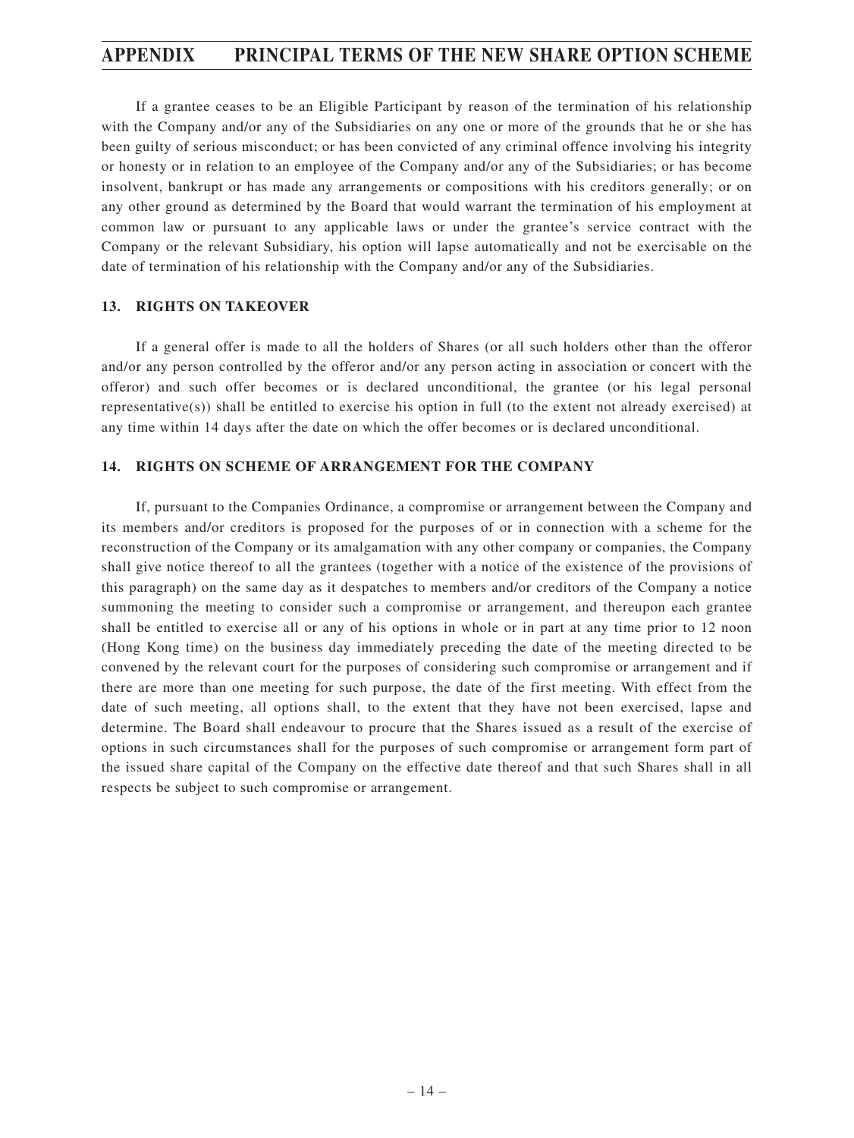If a grantee ceases to be an Eligible Participant by reason of the termination of his relationship with the Company and/or any of the Subsidiaries on any one or more of the grounds that he or she has been guilty of serious misconduct; or has been convicted of any criminal offence involving his integrity or honesty or in relation to an employee of the Company and/or any of the Subsidiaries; or has become insolvent, bankrupt or has made any arrangements or compositions with his creditors generally; or on any other ground as determined by the Board that would warrant the termination of his employment at common law or pursuant to any applicable laws or under the grantee's service contract with the Company or the relevant Subsidiary, his option will lapse automatically and not be exercisable on the date of termination of his relationship with the Company and/or any of the Subsidiaries.

#### **13. RIGHTS ON TAKEOVER**

If a general offer is made to all the holders of Shares (or all such holders other than the offeror and/or any person controlled by the offeror and/or any person acting in association or concert with the offeror) and such offer becomes or is declared unconditional, the grantee (or his legal personal representative(s)) shall be entitled to exercise his option in full (to the extent not already exercised) at any time within 14 days after the date on which the offer becomes or is declared unconditional.

#### **14. RIGHTS ON SCHEME OF ARRANGEMENT FOR THE COMPANY**

If, pursuant to the Companies Ordinance, a compromise or arrangement between the Company and its members and/or creditors is proposed for the purposes of or in connection with a scheme for the reconstruction of the Company or its amalgamation with any other company or companies, the Company shall give notice thereof to all the grantees (together with a notice of the existence of the provisions of this paragraph) on the same day as it despatches to members and/or creditors of the Company a notice summoning the meeting to consider such a compromise or arrangement, and thereupon each grantee shall be entitled to exercise all or any of his options in whole or in part at any time prior to 12 noon (Hong Kong time) on the business day immediately preceding the date of the meeting directed to be convened by the relevant court for the purposes of considering such compromise or arrangement and if there are more than one meeting for such purpose, the date of the first meeting. With effect from the date of such meeting, all options shall, to the extent that they have not been exercised, lapse and determine. The Board shall endeavour to procure that the Shares issued as a result of the exercise of options in such circumstances shall for the purposes of such compromise or arrangement form part of the issued share capital of the Company on the effective date thereof and that such Shares shall in all respects be subject to such compromise or arrangement.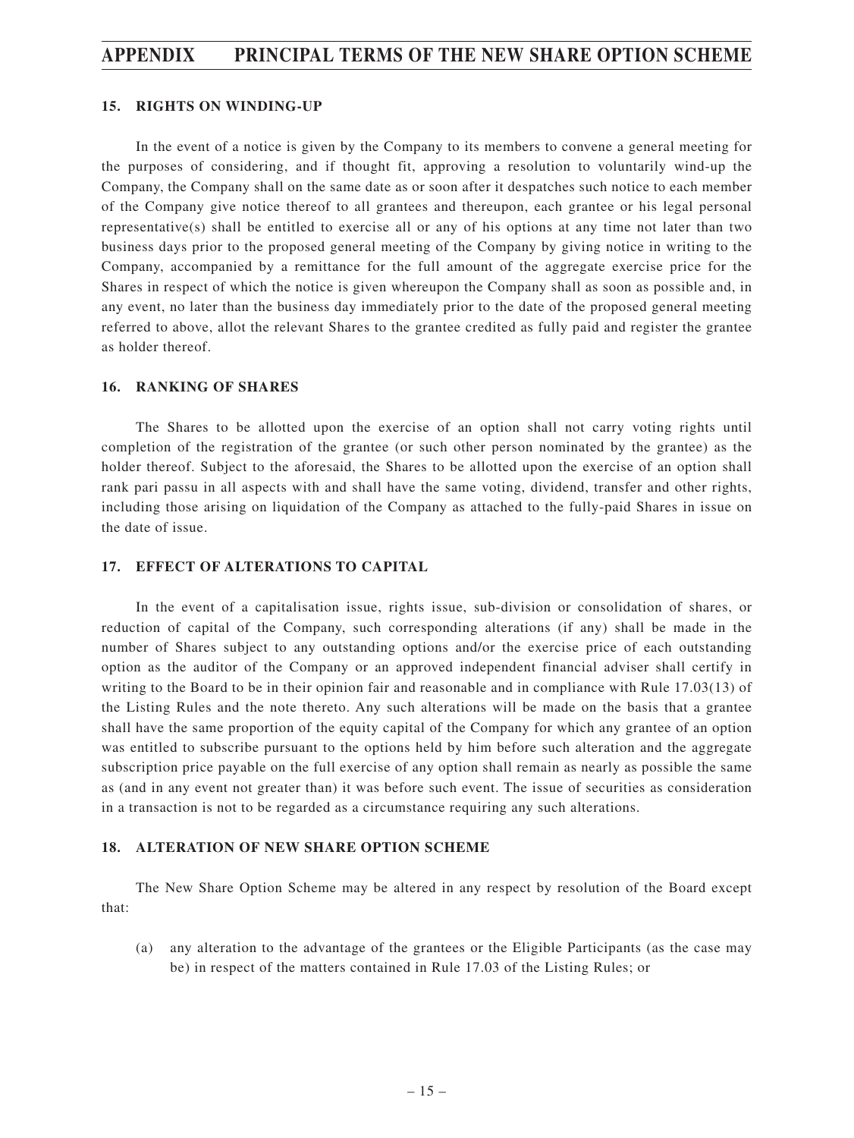#### **15. RIGHTS ON WINDING-UP**

In the event of a notice is given by the Company to its members to convene a general meeting for the purposes of considering, and if thought fit, approving a resolution to voluntarily wind-up the Company, the Company shall on the same date as or soon after it despatches such notice to each member of the Company give notice thereof to all grantees and thereupon, each grantee or his legal personal representative(s) shall be entitled to exercise all or any of his options at any time not later than two business days prior to the proposed general meeting of the Company by giving notice in writing to the Company, accompanied by a remittance for the full amount of the aggregate exercise price for the Shares in respect of which the notice is given whereupon the Company shall as soon as possible and, in any event, no later than the business day immediately prior to the date of the proposed general meeting referred to above, allot the relevant Shares to the grantee credited as fully paid and register the grantee as holder thereof.

#### **16. RANKING OF SHARES**

The Shares to be allotted upon the exercise of an option shall not carry voting rights until completion of the registration of the grantee (or such other person nominated by the grantee) as the holder thereof. Subject to the aforesaid, the Shares to be allotted upon the exercise of an option shall rank pari passu in all aspects with and shall have the same voting, dividend, transfer and other rights, including those arising on liquidation of the Company as attached to the fully-paid Shares in issue on the date of issue.

#### **17. EFFECT OF ALTERATIONS TO CAPITAL**

In the event of a capitalisation issue, rights issue, sub-division or consolidation of shares, or reduction of capital of the Company, such corresponding alterations (if any) shall be made in the number of Shares subject to any outstanding options and/or the exercise price of each outstanding option as the auditor of the Company or an approved independent financial adviser shall certify in writing to the Board to be in their opinion fair and reasonable and in compliance with Rule 17.03(13) of the Listing Rules and the note thereto. Any such alterations will be made on the basis that a grantee shall have the same proportion of the equity capital of the Company for which any grantee of an option was entitled to subscribe pursuant to the options held by him before such alteration and the aggregate subscription price payable on the full exercise of any option shall remain as nearly as possible the same as (and in any event not greater than) it was before such event. The issue of securities as consideration in a transaction is not to be regarded as a circumstance requiring any such alterations.

#### **18. ALTERATION OF NEW SHARE OPTION SCHEME**

The New Share Option Scheme may be altered in any respect by resolution of the Board except that:

(a) any alteration to the advantage of the grantees or the Eligible Participants (as the case may be) in respect of the matters contained in Rule 17.03 of the Listing Rules; or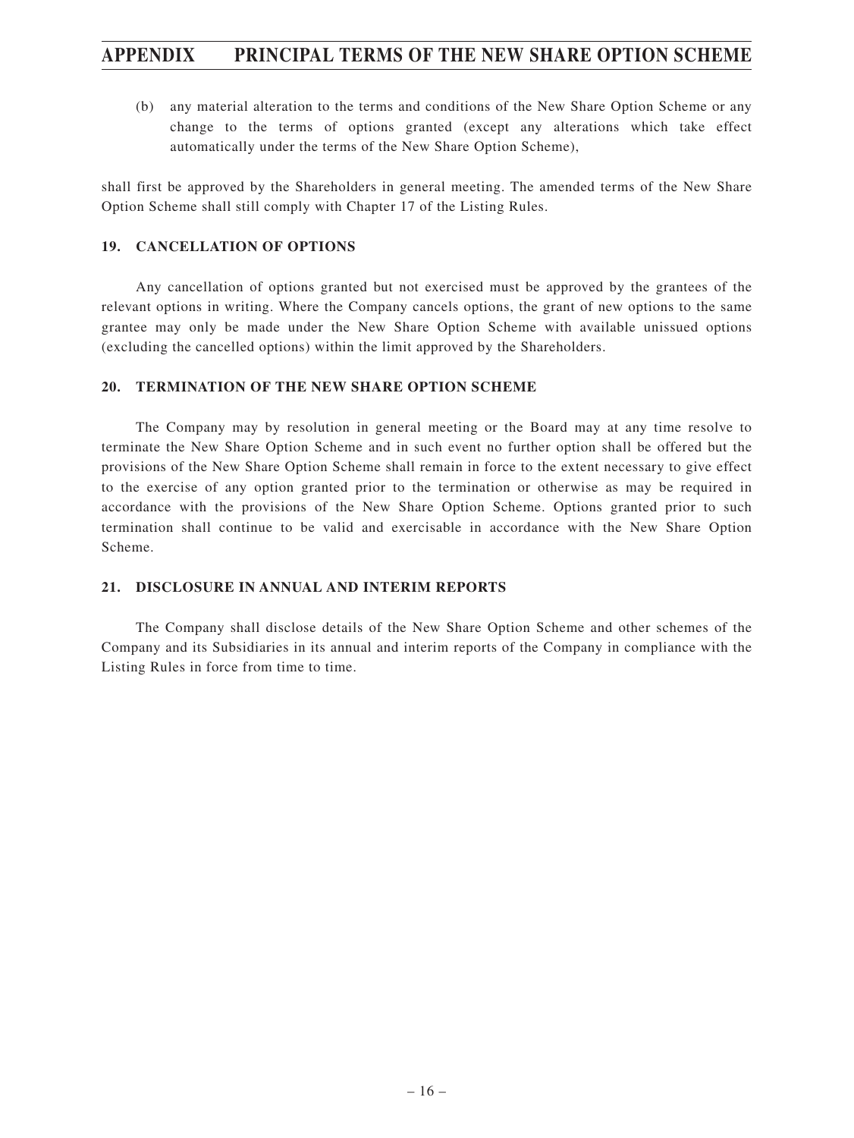(b) any material alteration to the terms and conditions of the New Share Option Scheme or any change to the terms of options granted (except any alterations which take effect automatically under the terms of the New Share Option Scheme),

shall first be approved by the Shareholders in general meeting. The amended terms of the New Share Option Scheme shall still comply with Chapter 17 of the Listing Rules.

#### **19. CANCELLATION OF OPTIONS**

Any cancellation of options granted but not exercised must be approved by the grantees of the relevant options in writing. Where the Company cancels options, the grant of new options to the same grantee may only be made under the New Share Option Scheme with available unissued options (excluding the cancelled options) within the limit approved by the Shareholders.

#### **20. TERMINATION OF THE NEW SHARE OPTION SCHEME**

The Company may by resolution in general meeting or the Board may at any time resolve to terminate the New Share Option Scheme and in such event no further option shall be offered but the provisions of the New Share Option Scheme shall remain in force to the extent necessary to give effect to the exercise of any option granted prior to the termination or otherwise as may be required in accordance with the provisions of the New Share Option Scheme. Options granted prior to such termination shall continue to be valid and exercisable in accordance with the New Share Option Scheme.

#### **21. DISCLOSURE IN ANNUAL AND INTERIM REPORTS**

The Company shall disclose details of the New Share Option Scheme and other schemes of the Company and its Subsidiaries in its annual and interim reports of the Company in compliance with the Listing Rules in force from time to time.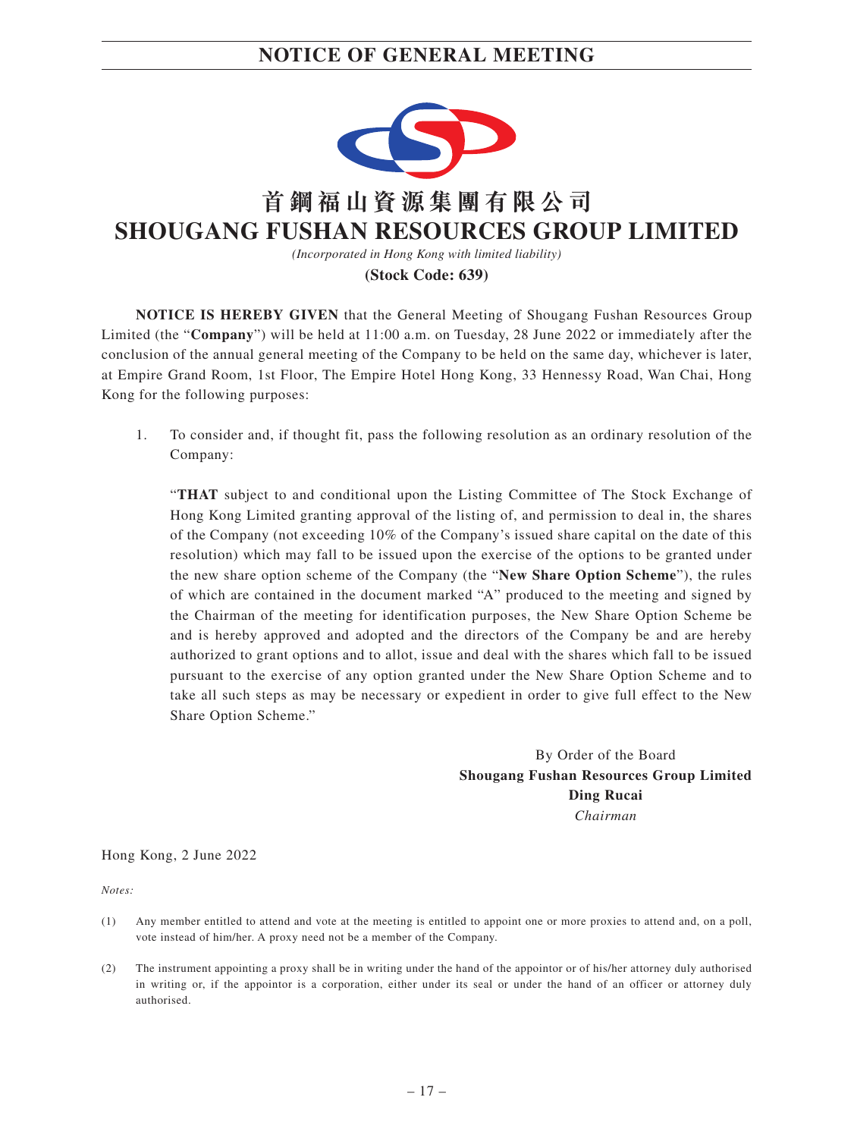# **NOTICE OF GENERAL MEETING**



**NOTICE IS HEREBY GIVEN** that the General Meeting of Shougang Fushan Resources Group Limited (the "**Company**") will be held at 11:00 a.m. on Tuesday, 28 June 2022 or immediately after the conclusion of the annual general meeting of the Company to be held on the same day, whichever is later, at Empire Grand Room, 1st Floor, The Empire Hotel Hong Kong, 33 Hennessy Road, Wan Chai, Hong Kong for the following purposes:

1. To consider and, if thought fit, pass the following resolution as an ordinary resolution of the Company:

"**THAT** subject to and conditional upon the Listing Committee of The Stock Exchange of Hong Kong Limited granting approval of the listing of, and permission to deal in, the shares of the Company (not exceeding 10% of the Company's issued share capital on the date of this resolution) which may fall to be issued upon the exercise of the options to be granted under the new share option scheme of the Company (the "**New Share Option Scheme**"), the rules of which are contained in the document marked "A" produced to the meeting and signed by the Chairman of the meeting for identification purposes, the New Share Option Scheme be and is hereby approved and adopted and the directors of the Company be and are hereby authorized to grant options and to allot, issue and deal with the shares which fall to be issued pursuant to the exercise of any option granted under the New Share Option Scheme and to take all such steps as may be necessary or expedient in order to give full effect to the New Share Option Scheme."

> By Order of the Board **Shougang Fushan Resources Group Limited Ding Rucai** *Chairman*

Hong Kong, 2 June 2022

*Notes:*

- (1) Any member entitled to attend and vote at the meeting is entitled to appoint one or more proxies to attend and, on a poll, vote instead of him/her. A proxy need not be a member of the Company.
- (2) The instrument appointing a proxy shall be in writing under the hand of the appointor or of his/her attorney duly authorised in writing or, if the appointor is a corporation, either under its seal or under the hand of an officer or attorney duly authorised.